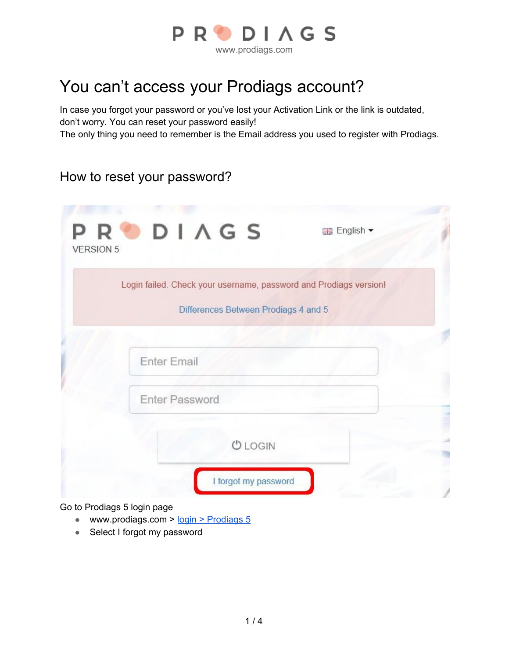

# You can't access your Prodiags account?

In case you forgot your password or you've lost your Activation Link or the link is outdated, don't worry. You can reset your password easily!

The only thing you need to remember is the Email address you used to register with Prodiags.

# How to reset your password?

| Differences Between Prodiags 4 and 5 |  |
|--------------------------------------|--|
|                                      |  |
|                                      |  |
| <b>Enter Email</b>                   |  |
|                                      |  |
| Enter Password                       |  |
|                                      |  |

Go to Prodiags 5 login page

- www.prodiags.com > login > [Prodiags](https://lms.prodiags.eu/login.php?lang=EN) 5
- Select I forgot my password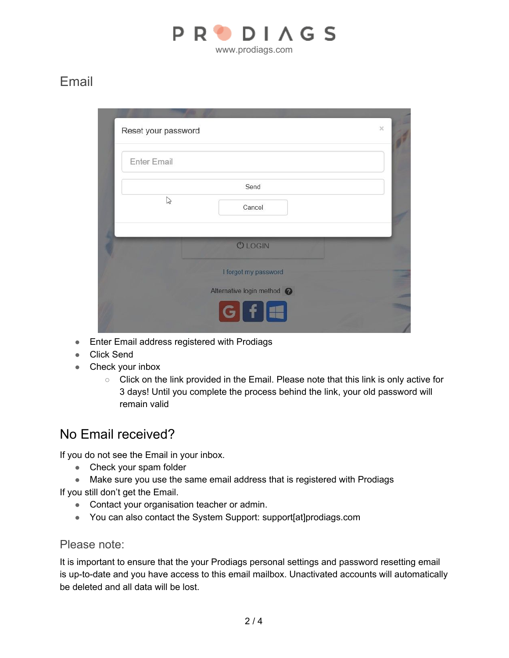

# Email

|                      | <b>Enter Email</b> |
|----------------------|--------------------|
| Send                 |                    |
| Cancel               | $\mathbb{Z}$       |
|                      |                    |
|                      |                    |
| I forgot my password |                    |
| <b>OLOGIN</b>        |                    |

- Enter Email address registered with Prodiags
- Click Send
- Check your inbox
	- Click on the link provided in the Email. Please note that this link is only active for 3 days! Until you complete the process behind the link, your old password will remain valid

### No Email received?

If you do not see the Email in your inbox.

- Check your spam folder
- Make sure you use the same email address that is registered with Prodiags

If you still don't get the Email.

- Contact your organisation teacher or admin.
- You can also contact the System Support: support[at]prodiags.com

### Please note:

It is important to ensure that the your Prodiags personal settings and password resetting email is up-to-date and you have access to this email mailbox. Unactivated accounts will automatically be deleted and all data will be lost.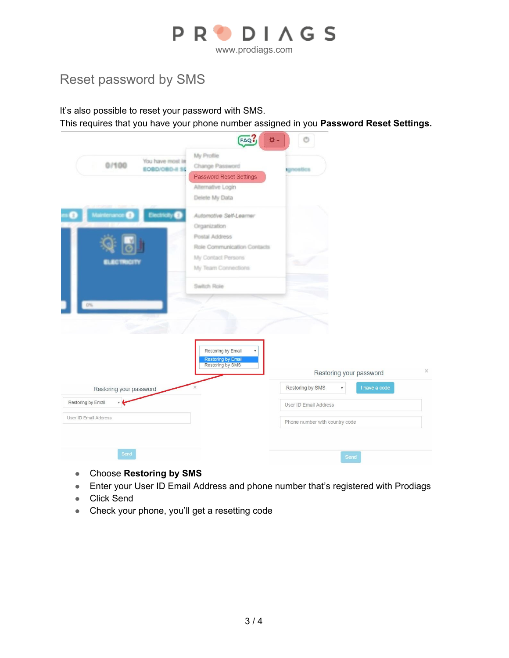

# Reset password by SMS

It's also possible to reset your password with SMS.

This requires that you have your phone number assigned in you **Password Reset Settings.**

|                                                                                  | FAQ.<br>٥.                                                                                                                                           |                                               |          |
|----------------------------------------------------------------------------------|------------------------------------------------------------------------------------------------------------------------------------------------------|-----------------------------------------------|----------|
| You have most in<br>0/100<br>EOBD/OBD-II SE                                      | My Profile<br>Change Password<br>Password Reset Settings<br>Alternative Login<br>Delete My Data                                                      | <b>Ignostics</b>                              |          |
| <b>Maintenance</b><br>$\bullet$<br><b>Electricity</b><br><b>LEGTRICITY</b><br>O% | Automotive Self-Learner<br>Organization<br>Postal Address<br>Role Communication Contacts<br>My Contact Persons<br>My Team Connections<br>Switch Role |                                               |          |
|                                                                                  | Restoring by Email<br><b>Restoring by Email</b><br>Restoring by SMS                                                                                  | Restoring your password<br>I have a code<br>۰ | $\times$ |
| Restoring your password                                                          |                                                                                                                                                      | Restoring by SMS                              |          |
| Restoring by Email<br>- 6                                                        |                                                                                                                                                      | User ID Email Address                         |          |
| User ID Email Address                                                            |                                                                                                                                                      | Phone number with country code                |          |
| Send                                                                             |                                                                                                                                                      | Send                                          |          |

- Choose **Restoring by SMS**
- Enter your User ID Email Address and phone number that's registered with Prodiags
- Click Send
- Check your phone, you'll get a resetting code